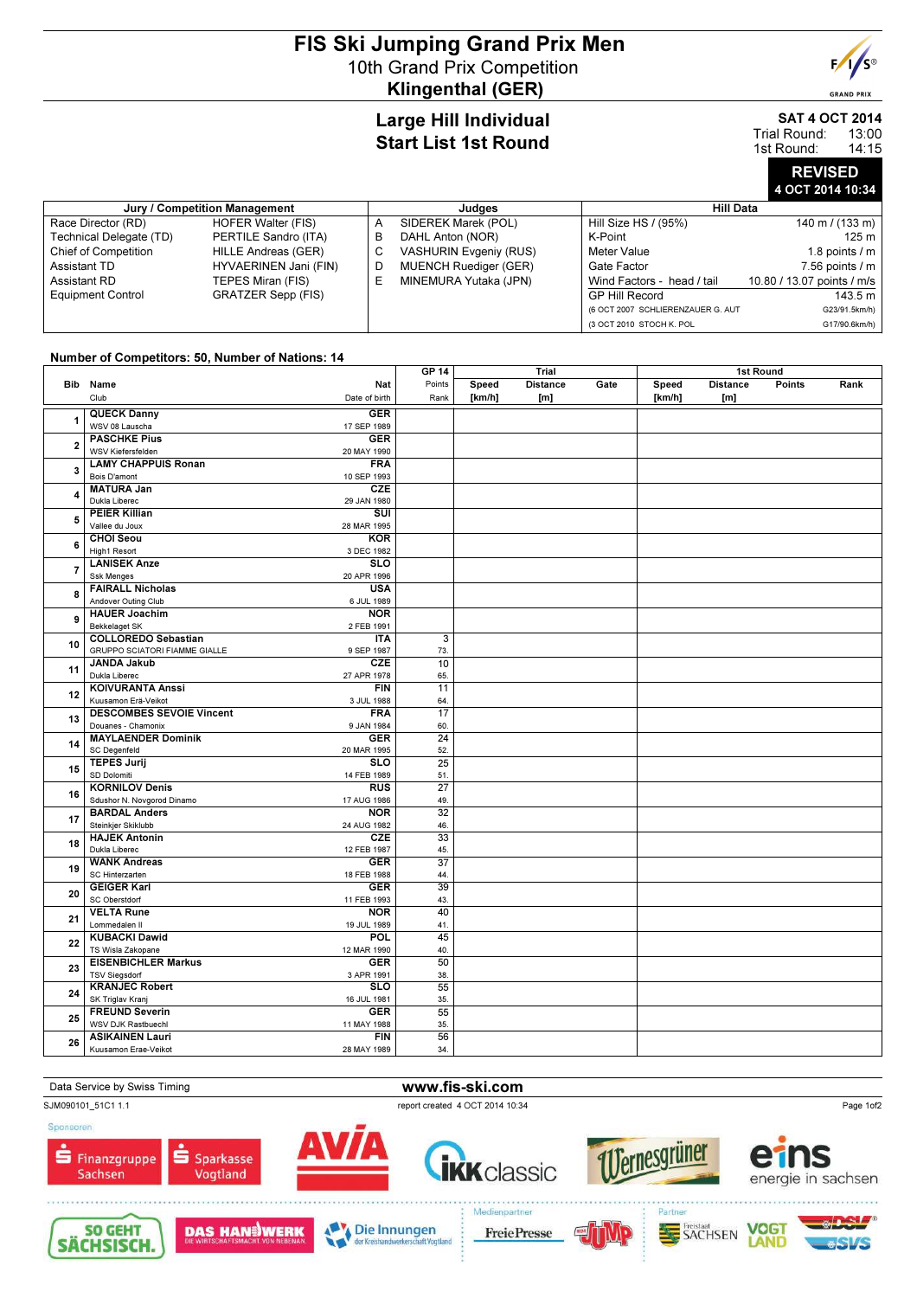## FIS Ski Jumping Grand Prix Men 10th Grand Prix Competition Klingenthal (GER)



**GRAND PRIX** 

### Large Hill Individual Start List 1st Round

SAT 4 OCT 2014

13:00 14:15 Trial Round: 1st Round:

# REVISED 4 OCT 2014 10:34

| Jury / Competition Management |                           |   | Judges                        | <b>Hill Data</b>                  |                            |  |  |
|-------------------------------|---------------------------|---|-------------------------------|-----------------------------------|----------------------------|--|--|
| Race Director (RD)            | <b>HOFER Walter (FIS)</b> | A | SIDEREK Marek (POL)           | Hill Size HS / (95%)              | 140 m / $(133 \text{ m})$  |  |  |
| Technical Delegate (TD)       | PERTILE Sandro (ITA)      | в | DAHL Anton (NOR)              | K-Point                           | 125 m                      |  |  |
| <b>Chief of Competition</b>   | HILLE Andreas (GER)       | С | <b>VASHURIN Evgeniy (RUS)</b> | Meter Value                       | 1.8 points $/m$            |  |  |
| Assistant TD                  | HYVAERINEN Jani (FIN)     |   | <b>MUENCH Ruediger (GER)</b>  | Gate Factor                       | $7.56$ points $/ m$        |  |  |
| Assistant RD                  | TEPES Miran (FIS)         | ᄂ | MINEMURA Yutaka (JPN)         | Wind Factors - head / tail        | 10.80 / 13.07 points / m/s |  |  |
| <b>Equipment Control</b>      | <b>GRATZER Sepp (FIS)</b> |   |                               | <b>GP Hill Record</b>             | 143.5 m                    |  |  |
|                               |                           |   |                               | (6 OCT 2007 SCHLIERENZAUER G. AUT | G23/91.5km/h)              |  |  |
|                               |                           |   |                               | (3 OCT 2010 STOCH K. POL          | G17/90.6km/h)              |  |  |

### Number of Competitors: 50, Number of Nations: 14

| Points<br><b>Distance</b><br>Gate<br><b>Distance</b><br>Bib Name<br>Nat<br>Speed<br>Speed<br>Points<br>Rank<br>Club<br>[km/h]<br>[km/h]<br>Date of birth<br>Rank<br>[m]<br>[m]<br><b>QUECK Danny</b><br><b>GER</b><br>1<br>WSV 08 Lauscha<br>17 SEP 1989<br><b>PASCHKE Pius</b><br><b>GER</b><br>$\overline{2}$<br>WSV Kiefersfelden<br>20 MAY 1990<br><b>LAMY CHAPPUIS Ronan</b><br><b>FRA</b><br>3<br>Bois D'amont<br>10 SEP 1993<br><b>MATURA Jan</b><br><b>CZE</b><br>4<br>Dukla Liberec<br>29 JAN 1980<br><b>PEIER Killian</b><br>$\overline{\text{S}}$<br>5<br>Vallee du Joux<br>28 MAR 1995<br><b>CHOI Seou</b><br><b>KOR</b><br>6<br>High1 Resort<br>3 DEC 1982<br><b>LANISEK Anze</b><br><b>SLO</b><br>$\overline{7}$<br><b>Ssk Menges</b><br>20 APR 1996<br><b>USA</b><br><b>FAIRALL Nicholas</b><br>8<br>Andover Outing Club<br>6 JUL 1989<br><b>HAUER Joachim</b><br><b>NOR</b><br>9<br>Bekkelaget SK<br>2 FEB 1991<br><b>COLLOREDO Sebastian</b><br><b>ITA</b><br>$\overline{\mathbf{3}}$<br>10<br><b>GRUPPO SCIATORI FIAMME GIALLE</b><br>9 SEP 1987<br>73.<br><b>JANDA Jakub</b><br><b>CZE</b><br>10<br>11<br>Dukla Liberec<br>27 APR 1978<br>65.<br><b>KOIVURANTA Anssi</b><br>FIN<br>11<br>12<br>Kuusamon Erä-Veikot<br>3 JUL 1988<br>64.<br><b>DESCOMBES SEVOIE Vincent</b><br><b>FRA</b><br>17<br>13<br>Douanes - Chamonix<br>9 JAN 1984<br>60.<br><b>MAYLAENDER Dominik</b><br><b>GER</b><br>24<br>14<br><b>SC Degenfeld</b><br>20 MAR 1995<br>52.<br><b>TEPES Jurij</b><br>$\overline{\text{SLO}}$<br>25<br>15<br>SD Dolomiti<br>14 FEB 1989<br>51.<br><b>KORNILOV Denis</b><br><b>RUS</b><br>27<br>16<br>Sdushor N. Novgorod Dinamo<br>17 AUG 1986<br>49.<br>$\overline{32}$<br><b>BARDAL Anders</b><br><b>NOR</b><br>17<br>Steinkjer Skiklubb<br>24 AUG 1982<br>46.<br>CZE<br>33<br><b>HAJEK Antonin</b><br>18<br>Dukla Liberec<br>12 FEB 1987<br>45.<br>$\overline{37}$<br><b>WANK Andreas</b><br><b>GER</b><br>19<br>SC Hinterzarten<br>18 FEB 1988<br>44.<br><b>GEIGER Karl</b><br><b>GER</b><br>39<br>20<br>SC Oberstdorf<br>11 FEB 1993<br>43.<br>40<br><b>VELTA Rune</b><br><b>NOR</b><br>21<br>Lommedalen II<br>19 JUL 1989<br>41.<br><b>KUBACKI Dawid</b><br>POL<br>45<br>22<br>TS Wisla Zakopane<br>12 MAR 1990<br>40.<br><b>EISENBICHLER Markus</b><br><b>GER</b><br>50<br>23<br><b>TSV Siegsdorf</b><br>3 APR 1991<br>38.<br><b>KRANJEC Robert</b><br>$\overline{\text{SLO}}$<br>55<br>24<br>SK Triglav Krani<br>16 JUL 1981<br>35.<br><b>FREUND Severin</b><br><b>GER</b><br>55<br>25<br>WSV DJK Rastbuechl<br>11 MAY 1988<br>35.<br><b>ASIKAINEN Lauri</b><br>56<br><b>FIN</b><br>26<br>Kuusamon Erae-Veikot<br>28 MAY 1989<br>34. |  |  |  | <b>GP 14</b> | Trial |  |  | 1st Round |  |  |  |
|------------------------------------------------------------------------------------------------------------------------------------------------------------------------------------------------------------------------------------------------------------------------------------------------------------------------------------------------------------------------------------------------------------------------------------------------------------------------------------------------------------------------------------------------------------------------------------------------------------------------------------------------------------------------------------------------------------------------------------------------------------------------------------------------------------------------------------------------------------------------------------------------------------------------------------------------------------------------------------------------------------------------------------------------------------------------------------------------------------------------------------------------------------------------------------------------------------------------------------------------------------------------------------------------------------------------------------------------------------------------------------------------------------------------------------------------------------------------------------------------------------------------------------------------------------------------------------------------------------------------------------------------------------------------------------------------------------------------------------------------------------------------------------------------------------------------------------------------------------------------------------------------------------------------------------------------------------------------------------------------------------------------------------------------------------------------------------------------------------------------------------------------------------------------------------------------------------------------------------------------------------------------------------------------------------------------------------------------------------------------------------------------------------------------------------------------------------------------------------------------------------------------------------------------------------------------------------------------------------------------------------------------------------------------|--|--|--|--------------|-------|--|--|-----------|--|--|--|
|                                                                                                                                                                                                                                                                                                                                                                                                                                                                                                                                                                                                                                                                                                                                                                                                                                                                                                                                                                                                                                                                                                                                                                                                                                                                                                                                                                                                                                                                                                                                                                                                                                                                                                                                                                                                                                                                                                                                                                                                                                                                                                                                                                                                                                                                                                                                                                                                                                                                                                                                                                                                                                                                        |  |  |  |              |       |  |  |           |  |  |  |
|                                                                                                                                                                                                                                                                                                                                                                                                                                                                                                                                                                                                                                                                                                                                                                                                                                                                                                                                                                                                                                                                                                                                                                                                                                                                                                                                                                                                                                                                                                                                                                                                                                                                                                                                                                                                                                                                                                                                                                                                                                                                                                                                                                                                                                                                                                                                                                                                                                                                                                                                                                                                                                                                        |  |  |  |              |       |  |  |           |  |  |  |
|                                                                                                                                                                                                                                                                                                                                                                                                                                                                                                                                                                                                                                                                                                                                                                                                                                                                                                                                                                                                                                                                                                                                                                                                                                                                                                                                                                                                                                                                                                                                                                                                                                                                                                                                                                                                                                                                                                                                                                                                                                                                                                                                                                                                                                                                                                                                                                                                                                                                                                                                                                                                                                                                        |  |  |  |              |       |  |  |           |  |  |  |
|                                                                                                                                                                                                                                                                                                                                                                                                                                                                                                                                                                                                                                                                                                                                                                                                                                                                                                                                                                                                                                                                                                                                                                                                                                                                                                                                                                                                                                                                                                                                                                                                                                                                                                                                                                                                                                                                                                                                                                                                                                                                                                                                                                                                                                                                                                                                                                                                                                                                                                                                                                                                                                                                        |  |  |  |              |       |  |  |           |  |  |  |
|                                                                                                                                                                                                                                                                                                                                                                                                                                                                                                                                                                                                                                                                                                                                                                                                                                                                                                                                                                                                                                                                                                                                                                                                                                                                                                                                                                                                                                                                                                                                                                                                                                                                                                                                                                                                                                                                                                                                                                                                                                                                                                                                                                                                                                                                                                                                                                                                                                                                                                                                                                                                                                                                        |  |  |  |              |       |  |  |           |  |  |  |
|                                                                                                                                                                                                                                                                                                                                                                                                                                                                                                                                                                                                                                                                                                                                                                                                                                                                                                                                                                                                                                                                                                                                                                                                                                                                                                                                                                                                                                                                                                                                                                                                                                                                                                                                                                                                                                                                                                                                                                                                                                                                                                                                                                                                                                                                                                                                                                                                                                                                                                                                                                                                                                                                        |  |  |  |              |       |  |  |           |  |  |  |
|                                                                                                                                                                                                                                                                                                                                                                                                                                                                                                                                                                                                                                                                                                                                                                                                                                                                                                                                                                                                                                                                                                                                                                                                                                                                                                                                                                                                                                                                                                                                                                                                                                                                                                                                                                                                                                                                                                                                                                                                                                                                                                                                                                                                                                                                                                                                                                                                                                                                                                                                                                                                                                                                        |  |  |  |              |       |  |  |           |  |  |  |
|                                                                                                                                                                                                                                                                                                                                                                                                                                                                                                                                                                                                                                                                                                                                                                                                                                                                                                                                                                                                                                                                                                                                                                                                                                                                                                                                                                                                                                                                                                                                                                                                                                                                                                                                                                                                                                                                                                                                                                                                                                                                                                                                                                                                                                                                                                                                                                                                                                                                                                                                                                                                                                                                        |  |  |  |              |       |  |  |           |  |  |  |
|                                                                                                                                                                                                                                                                                                                                                                                                                                                                                                                                                                                                                                                                                                                                                                                                                                                                                                                                                                                                                                                                                                                                                                                                                                                                                                                                                                                                                                                                                                                                                                                                                                                                                                                                                                                                                                                                                                                                                                                                                                                                                                                                                                                                                                                                                                                                                                                                                                                                                                                                                                                                                                                                        |  |  |  |              |       |  |  |           |  |  |  |
|                                                                                                                                                                                                                                                                                                                                                                                                                                                                                                                                                                                                                                                                                                                                                                                                                                                                                                                                                                                                                                                                                                                                                                                                                                                                                                                                                                                                                                                                                                                                                                                                                                                                                                                                                                                                                                                                                                                                                                                                                                                                                                                                                                                                                                                                                                                                                                                                                                                                                                                                                                                                                                                                        |  |  |  |              |       |  |  |           |  |  |  |
|                                                                                                                                                                                                                                                                                                                                                                                                                                                                                                                                                                                                                                                                                                                                                                                                                                                                                                                                                                                                                                                                                                                                                                                                                                                                                                                                                                                                                                                                                                                                                                                                                                                                                                                                                                                                                                                                                                                                                                                                                                                                                                                                                                                                                                                                                                                                                                                                                                                                                                                                                                                                                                                                        |  |  |  |              |       |  |  |           |  |  |  |
|                                                                                                                                                                                                                                                                                                                                                                                                                                                                                                                                                                                                                                                                                                                                                                                                                                                                                                                                                                                                                                                                                                                                                                                                                                                                                                                                                                                                                                                                                                                                                                                                                                                                                                                                                                                                                                                                                                                                                                                                                                                                                                                                                                                                                                                                                                                                                                                                                                                                                                                                                                                                                                                                        |  |  |  |              |       |  |  |           |  |  |  |
|                                                                                                                                                                                                                                                                                                                                                                                                                                                                                                                                                                                                                                                                                                                                                                                                                                                                                                                                                                                                                                                                                                                                                                                                                                                                                                                                                                                                                                                                                                                                                                                                                                                                                                                                                                                                                                                                                                                                                                                                                                                                                                                                                                                                                                                                                                                                                                                                                                                                                                                                                                                                                                                                        |  |  |  |              |       |  |  |           |  |  |  |
|                                                                                                                                                                                                                                                                                                                                                                                                                                                                                                                                                                                                                                                                                                                                                                                                                                                                                                                                                                                                                                                                                                                                                                                                                                                                                                                                                                                                                                                                                                                                                                                                                                                                                                                                                                                                                                                                                                                                                                                                                                                                                                                                                                                                                                                                                                                                                                                                                                                                                                                                                                                                                                                                        |  |  |  |              |       |  |  |           |  |  |  |
|                                                                                                                                                                                                                                                                                                                                                                                                                                                                                                                                                                                                                                                                                                                                                                                                                                                                                                                                                                                                                                                                                                                                                                                                                                                                                                                                                                                                                                                                                                                                                                                                                                                                                                                                                                                                                                                                                                                                                                                                                                                                                                                                                                                                                                                                                                                                                                                                                                                                                                                                                                                                                                                                        |  |  |  |              |       |  |  |           |  |  |  |
|                                                                                                                                                                                                                                                                                                                                                                                                                                                                                                                                                                                                                                                                                                                                                                                                                                                                                                                                                                                                                                                                                                                                                                                                                                                                                                                                                                                                                                                                                                                                                                                                                                                                                                                                                                                                                                                                                                                                                                                                                                                                                                                                                                                                                                                                                                                                                                                                                                                                                                                                                                                                                                                                        |  |  |  |              |       |  |  |           |  |  |  |
|                                                                                                                                                                                                                                                                                                                                                                                                                                                                                                                                                                                                                                                                                                                                                                                                                                                                                                                                                                                                                                                                                                                                                                                                                                                                                                                                                                                                                                                                                                                                                                                                                                                                                                                                                                                                                                                                                                                                                                                                                                                                                                                                                                                                                                                                                                                                                                                                                                                                                                                                                                                                                                                                        |  |  |  |              |       |  |  |           |  |  |  |
|                                                                                                                                                                                                                                                                                                                                                                                                                                                                                                                                                                                                                                                                                                                                                                                                                                                                                                                                                                                                                                                                                                                                                                                                                                                                                                                                                                                                                                                                                                                                                                                                                                                                                                                                                                                                                                                                                                                                                                                                                                                                                                                                                                                                                                                                                                                                                                                                                                                                                                                                                                                                                                                                        |  |  |  |              |       |  |  |           |  |  |  |
|                                                                                                                                                                                                                                                                                                                                                                                                                                                                                                                                                                                                                                                                                                                                                                                                                                                                                                                                                                                                                                                                                                                                                                                                                                                                                                                                                                                                                                                                                                                                                                                                                                                                                                                                                                                                                                                                                                                                                                                                                                                                                                                                                                                                                                                                                                                                                                                                                                                                                                                                                                                                                                                                        |  |  |  |              |       |  |  |           |  |  |  |
|                                                                                                                                                                                                                                                                                                                                                                                                                                                                                                                                                                                                                                                                                                                                                                                                                                                                                                                                                                                                                                                                                                                                                                                                                                                                                                                                                                                                                                                                                                                                                                                                                                                                                                                                                                                                                                                                                                                                                                                                                                                                                                                                                                                                                                                                                                                                                                                                                                                                                                                                                                                                                                                                        |  |  |  |              |       |  |  |           |  |  |  |
|                                                                                                                                                                                                                                                                                                                                                                                                                                                                                                                                                                                                                                                                                                                                                                                                                                                                                                                                                                                                                                                                                                                                                                                                                                                                                                                                                                                                                                                                                                                                                                                                                                                                                                                                                                                                                                                                                                                                                                                                                                                                                                                                                                                                                                                                                                                                                                                                                                                                                                                                                                                                                                                                        |  |  |  |              |       |  |  |           |  |  |  |
|                                                                                                                                                                                                                                                                                                                                                                                                                                                                                                                                                                                                                                                                                                                                                                                                                                                                                                                                                                                                                                                                                                                                                                                                                                                                                                                                                                                                                                                                                                                                                                                                                                                                                                                                                                                                                                                                                                                                                                                                                                                                                                                                                                                                                                                                                                                                                                                                                                                                                                                                                                                                                                                                        |  |  |  |              |       |  |  |           |  |  |  |
|                                                                                                                                                                                                                                                                                                                                                                                                                                                                                                                                                                                                                                                                                                                                                                                                                                                                                                                                                                                                                                                                                                                                                                                                                                                                                                                                                                                                                                                                                                                                                                                                                                                                                                                                                                                                                                                                                                                                                                                                                                                                                                                                                                                                                                                                                                                                                                                                                                                                                                                                                                                                                                                                        |  |  |  |              |       |  |  |           |  |  |  |
|                                                                                                                                                                                                                                                                                                                                                                                                                                                                                                                                                                                                                                                                                                                                                                                                                                                                                                                                                                                                                                                                                                                                                                                                                                                                                                                                                                                                                                                                                                                                                                                                                                                                                                                                                                                                                                                                                                                                                                                                                                                                                                                                                                                                                                                                                                                                                                                                                                                                                                                                                                                                                                                                        |  |  |  |              |       |  |  |           |  |  |  |
|                                                                                                                                                                                                                                                                                                                                                                                                                                                                                                                                                                                                                                                                                                                                                                                                                                                                                                                                                                                                                                                                                                                                                                                                                                                                                                                                                                                                                                                                                                                                                                                                                                                                                                                                                                                                                                                                                                                                                                                                                                                                                                                                                                                                                                                                                                                                                                                                                                                                                                                                                                                                                                                                        |  |  |  |              |       |  |  |           |  |  |  |
|                                                                                                                                                                                                                                                                                                                                                                                                                                                                                                                                                                                                                                                                                                                                                                                                                                                                                                                                                                                                                                                                                                                                                                                                                                                                                                                                                                                                                                                                                                                                                                                                                                                                                                                                                                                                                                                                                                                                                                                                                                                                                                                                                                                                                                                                                                                                                                                                                                                                                                                                                                                                                                                                        |  |  |  |              |       |  |  |           |  |  |  |
|                                                                                                                                                                                                                                                                                                                                                                                                                                                                                                                                                                                                                                                                                                                                                                                                                                                                                                                                                                                                                                                                                                                                                                                                                                                                                                                                                                                                                                                                                                                                                                                                                                                                                                                                                                                                                                                                                                                                                                                                                                                                                                                                                                                                                                                                                                                                                                                                                                                                                                                                                                                                                                                                        |  |  |  |              |       |  |  |           |  |  |  |
|                                                                                                                                                                                                                                                                                                                                                                                                                                                                                                                                                                                                                                                                                                                                                                                                                                                                                                                                                                                                                                                                                                                                                                                                                                                                                                                                                                                                                                                                                                                                                                                                                                                                                                                                                                                                                                                                                                                                                                                                                                                                                                                                                                                                                                                                                                                                                                                                                                                                                                                                                                                                                                                                        |  |  |  |              |       |  |  |           |  |  |  |
|                                                                                                                                                                                                                                                                                                                                                                                                                                                                                                                                                                                                                                                                                                                                                                                                                                                                                                                                                                                                                                                                                                                                                                                                                                                                                                                                                                                                                                                                                                                                                                                                                                                                                                                                                                                                                                                                                                                                                                                                                                                                                                                                                                                                                                                                                                                                                                                                                                                                                                                                                                                                                                                                        |  |  |  |              |       |  |  |           |  |  |  |
|                                                                                                                                                                                                                                                                                                                                                                                                                                                                                                                                                                                                                                                                                                                                                                                                                                                                                                                                                                                                                                                                                                                                                                                                                                                                                                                                                                                                                                                                                                                                                                                                                                                                                                                                                                                                                                                                                                                                                                                                                                                                                                                                                                                                                                                                                                                                                                                                                                                                                                                                                                                                                                                                        |  |  |  |              |       |  |  |           |  |  |  |
|                                                                                                                                                                                                                                                                                                                                                                                                                                                                                                                                                                                                                                                                                                                                                                                                                                                                                                                                                                                                                                                                                                                                                                                                                                                                                                                                                                                                                                                                                                                                                                                                                                                                                                                                                                                                                                                                                                                                                                                                                                                                                                                                                                                                                                                                                                                                                                                                                                                                                                                                                                                                                                                                        |  |  |  |              |       |  |  |           |  |  |  |
|                                                                                                                                                                                                                                                                                                                                                                                                                                                                                                                                                                                                                                                                                                                                                                                                                                                                                                                                                                                                                                                                                                                                                                                                                                                                                                                                                                                                                                                                                                                                                                                                                                                                                                                                                                                                                                                                                                                                                                                                                                                                                                                                                                                                                                                                                                                                                                                                                                                                                                                                                                                                                                                                        |  |  |  |              |       |  |  |           |  |  |  |
|                                                                                                                                                                                                                                                                                                                                                                                                                                                                                                                                                                                                                                                                                                                                                                                                                                                                                                                                                                                                                                                                                                                                                                                                                                                                                                                                                                                                                                                                                                                                                                                                                                                                                                                                                                                                                                                                                                                                                                                                                                                                                                                                                                                                                                                                                                                                                                                                                                                                                                                                                                                                                                                                        |  |  |  |              |       |  |  |           |  |  |  |
|                                                                                                                                                                                                                                                                                                                                                                                                                                                                                                                                                                                                                                                                                                                                                                                                                                                                                                                                                                                                                                                                                                                                                                                                                                                                                                                                                                                                                                                                                                                                                                                                                                                                                                                                                                                                                                                                                                                                                                                                                                                                                                                                                                                                                                                                                                                                                                                                                                                                                                                                                                                                                                                                        |  |  |  |              |       |  |  |           |  |  |  |
|                                                                                                                                                                                                                                                                                                                                                                                                                                                                                                                                                                                                                                                                                                                                                                                                                                                                                                                                                                                                                                                                                                                                                                                                                                                                                                                                                                                                                                                                                                                                                                                                                                                                                                                                                                                                                                                                                                                                                                                                                                                                                                                                                                                                                                                                                                                                                                                                                                                                                                                                                                                                                                                                        |  |  |  |              |       |  |  |           |  |  |  |
|                                                                                                                                                                                                                                                                                                                                                                                                                                                                                                                                                                                                                                                                                                                                                                                                                                                                                                                                                                                                                                                                                                                                                                                                                                                                                                                                                                                                                                                                                                                                                                                                                                                                                                                                                                                                                                                                                                                                                                                                                                                                                                                                                                                                                                                                                                                                                                                                                                                                                                                                                                                                                                                                        |  |  |  |              |       |  |  |           |  |  |  |
|                                                                                                                                                                                                                                                                                                                                                                                                                                                                                                                                                                                                                                                                                                                                                                                                                                                                                                                                                                                                                                                                                                                                                                                                                                                                                                                                                                                                                                                                                                                                                                                                                                                                                                                                                                                                                                                                                                                                                                                                                                                                                                                                                                                                                                                                                                                                                                                                                                                                                                                                                                                                                                                                        |  |  |  |              |       |  |  |           |  |  |  |
|                                                                                                                                                                                                                                                                                                                                                                                                                                                                                                                                                                                                                                                                                                                                                                                                                                                                                                                                                                                                                                                                                                                                                                                                                                                                                                                                                                                                                                                                                                                                                                                                                                                                                                                                                                                                                                                                                                                                                                                                                                                                                                                                                                                                                                                                                                                                                                                                                                                                                                                                                                                                                                                                        |  |  |  |              |       |  |  |           |  |  |  |
|                                                                                                                                                                                                                                                                                                                                                                                                                                                                                                                                                                                                                                                                                                                                                                                                                                                                                                                                                                                                                                                                                                                                                                                                                                                                                                                                                                                                                                                                                                                                                                                                                                                                                                                                                                                                                                                                                                                                                                                                                                                                                                                                                                                                                                                                                                                                                                                                                                                                                                                                                                                                                                                                        |  |  |  |              |       |  |  |           |  |  |  |
|                                                                                                                                                                                                                                                                                                                                                                                                                                                                                                                                                                                                                                                                                                                                                                                                                                                                                                                                                                                                                                                                                                                                                                                                                                                                                                                                                                                                                                                                                                                                                                                                                                                                                                                                                                                                                                                                                                                                                                                                                                                                                                                                                                                                                                                                                                                                                                                                                                                                                                                                                                                                                                                                        |  |  |  |              |       |  |  |           |  |  |  |
|                                                                                                                                                                                                                                                                                                                                                                                                                                                                                                                                                                                                                                                                                                                                                                                                                                                                                                                                                                                                                                                                                                                                                                                                                                                                                                                                                                                                                                                                                                                                                                                                                                                                                                                                                                                                                                                                                                                                                                                                                                                                                                                                                                                                                                                                                                                                                                                                                                                                                                                                                                                                                                                                        |  |  |  |              |       |  |  |           |  |  |  |
|                                                                                                                                                                                                                                                                                                                                                                                                                                                                                                                                                                                                                                                                                                                                                                                                                                                                                                                                                                                                                                                                                                                                                                                                                                                                                                                                                                                                                                                                                                                                                                                                                                                                                                                                                                                                                                                                                                                                                                                                                                                                                                                                                                                                                                                                                                                                                                                                                                                                                                                                                                                                                                                                        |  |  |  |              |       |  |  |           |  |  |  |
|                                                                                                                                                                                                                                                                                                                                                                                                                                                                                                                                                                                                                                                                                                                                                                                                                                                                                                                                                                                                                                                                                                                                                                                                                                                                                                                                                                                                                                                                                                                                                                                                                                                                                                                                                                                                                                                                                                                                                                                                                                                                                                                                                                                                                                                                                                                                                                                                                                                                                                                                                                                                                                                                        |  |  |  |              |       |  |  |           |  |  |  |
|                                                                                                                                                                                                                                                                                                                                                                                                                                                                                                                                                                                                                                                                                                                                                                                                                                                                                                                                                                                                                                                                                                                                                                                                                                                                                                                                                                                                                                                                                                                                                                                                                                                                                                                                                                                                                                                                                                                                                                                                                                                                                                                                                                                                                                                                                                                                                                                                                                                                                                                                                                                                                                                                        |  |  |  |              |       |  |  |           |  |  |  |
|                                                                                                                                                                                                                                                                                                                                                                                                                                                                                                                                                                                                                                                                                                                                                                                                                                                                                                                                                                                                                                                                                                                                                                                                                                                                                                                                                                                                                                                                                                                                                                                                                                                                                                                                                                                                                                                                                                                                                                                                                                                                                                                                                                                                                                                                                                                                                                                                                                                                                                                                                                                                                                                                        |  |  |  |              |       |  |  |           |  |  |  |
|                                                                                                                                                                                                                                                                                                                                                                                                                                                                                                                                                                                                                                                                                                                                                                                                                                                                                                                                                                                                                                                                                                                                                                                                                                                                                                                                                                                                                                                                                                                                                                                                                                                                                                                                                                                                                                                                                                                                                                                                                                                                                                                                                                                                                                                                                                                                                                                                                                                                                                                                                                                                                                                                        |  |  |  |              |       |  |  |           |  |  |  |
|                                                                                                                                                                                                                                                                                                                                                                                                                                                                                                                                                                                                                                                                                                                                                                                                                                                                                                                                                                                                                                                                                                                                                                                                                                                                                                                                                                                                                                                                                                                                                                                                                                                                                                                                                                                                                                                                                                                                                                                                                                                                                                                                                                                                                                                                                                                                                                                                                                                                                                                                                                                                                                                                        |  |  |  |              |       |  |  |           |  |  |  |
|                                                                                                                                                                                                                                                                                                                                                                                                                                                                                                                                                                                                                                                                                                                                                                                                                                                                                                                                                                                                                                                                                                                                                                                                                                                                                                                                                                                                                                                                                                                                                                                                                                                                                                                                                                                                                                                                                                                                                                                                                                                                                                                                                                                                                                                                                                                                                                                                                                                                                                                                                                                                                                                                        |  |  |  |              |       |  |  |           |  |  |  |
|                                                                                                                                                                                                                                                                                                                                                                                                                                                                                                                                                                                                                                                                                                                                                                                                                                                                                                                                                                                                                                                                                                                                                                                                                                                                                                                                                                                                                                                                                                                                                                                                                                                                                                                                                                                                                                                                                                                                                                                                                                                                                                                                                                                                                                                                                                                                                                                                                                                                                                                                                                                                                                                                        |  |  |  |              |       |  |  |           |  |  |  |
|                                                                                                                                                                                                                                                                                                                                                                                                                                                                                                                                                                                                                                                                                                                                                                                                                                                                                                                                                                                                                                                                                                                                                                                                                                                                                                                                                                                                                                                                                                                                                                                                                                                                                                                                                                                                                                                                                                                                                                                                                                                                                                                                                                                                                                                                                                                                                                                                                                                                                                                                                                                                                                                                        |  |  |  |              |       |  |  |           |  |  |  |
|                                                                                                                                                                                                                                                                                                                                                                                                                                                                                                                                                                                                                                                                                                                                                                                                                                                                                                                                                                                                                                                                                                                                                                                                                                                                                                                                                                                                                                                                                                                                                                                                                                                                                                                                                                                                                                                                                                                                                                                                                                                                                                                                                                                                                                                                                                                                                                                                                                                                                                                                                                                                                                                                        |  |  |  |              |       |  |  |           |  |  |  |
|                                                                                                                                                                                                                                                                                                                                                                                                                                                                                                                                                                                                                                                                                                                                                                                                                                                                                                                                                                                                                                                                                                                                                                                                                                                                                                                                                                                                                                                                                                                                                                                                                                                                                                                                                                                                                                                                                                                                                                                                                                                                                                                                                                                                                                                                                                                                                                                                                                                                                                                                                                                                                                                                        |  |  |  |              |       |  |  |           |  |  |  |
|                                                                                                                                                                                                                                                                                                                                                                                                                                                                                                                                                                                                                                                                                                                                                                                                                                                                                                                                                                                                                                                                                                                                                                                                                                                                                                                                                                                                                                                                                                                                                                                                                                                                                                                                                                                                                                                                                                                                                                                                                                                                                                                                                                                                                                                                                                                                                                                                                                                                                                                                                                                                                                                                        |  |  |  |              |       |  |  |           |  |  |  |

#### Data Service by Swiss Timing WWW.fis-ski.com SJM090101\_51C1 1.1 report created 4 OCT 2014 10:34 Page 1of2 Spo *<u>1Vernesgrüner</u>* š s Finanzgruppe Sparkasse *ikk*classic S Sachsen Vogtland energie in sachsen





Die Innungen